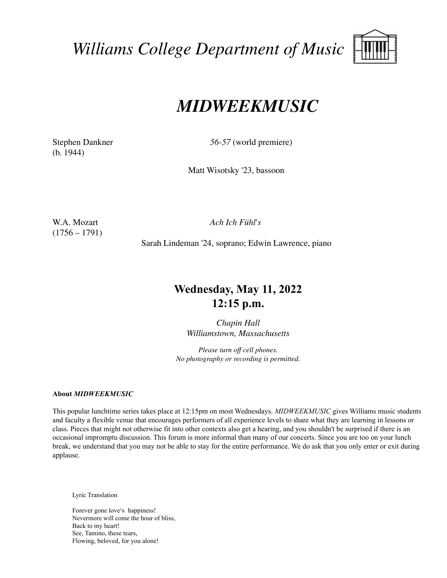*Williams College Department of Music*



## *MIDWEEKMUSIC*

(b. 1944)

Stephen Dankner *56-57* (world premiere)

Matt Wisotsky '23, bassoon

 $(1756 - 1791)$ 

W.A. Mozart *Ach Ich Fühl's*

Sarah Lindeman '24, soprano; Edwin Lawrence, piano

## **Wednesday, May 11, 2022 12:15 p.m.**

*Chapin Hall Williamstown, Massachusetts*

*Please turn off cell phones. No photography or recording is permitted.*

## **About** *MIDWEEKMUSIC*

This popular lunchtime series takes place at 12:15pm on most Wednesdays. *MIDWEEKMUSIC* gives Williams music students and faculty a flexible venue that encourages performers of all experience levels to share what they are learning in lessons or class. Pieces that might not otherwise fit into other contexts also get a hearing, and you shouldn't be surprised if there is an occasional impromptu discussion. This forum is more informal than many of our concerts. Since you are too on your lunch break, we understand that you may not be able to stay for the entire performance. We do ask that you only enter or exit during applause.

Lyric Translation

Forever gone love<sup>1</sup>s happiness! Nevermore will come the hour of bliss, Back to my heart! See, Tamino, these tears, Flowing, beloved, for you alone!